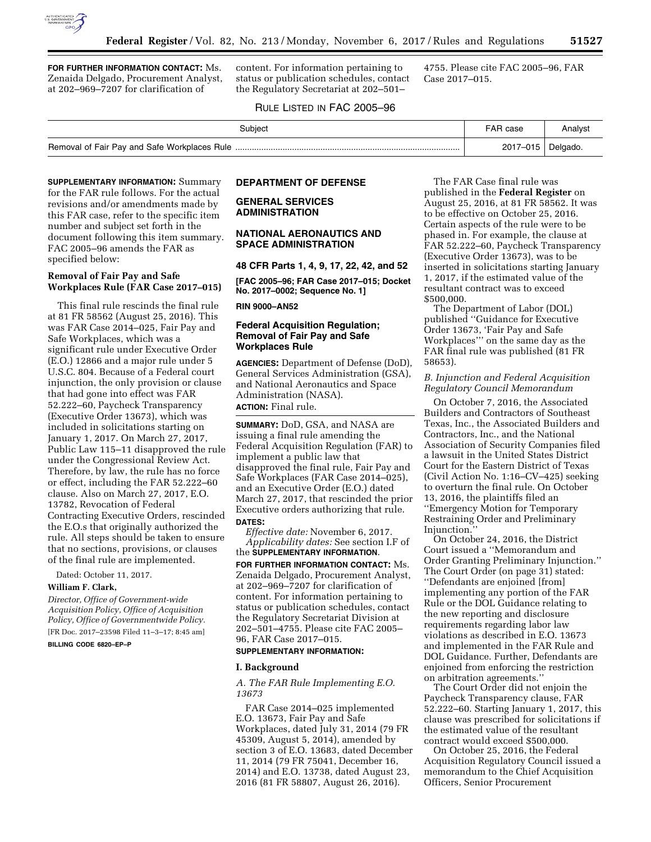

**FOR FURTHER INFORMATION CONTACT:** Ms. Zenaida Delgado, Procurement Analyst, at 202–969–7207 for clarification of

content. For information pertaining to status or publication schedules, contact the Regulatory Secretariat at 202–501–

4755. Please cite FAC 2005–96, FAR Case 2017–015.

### RULE LISTED IN FAC 2005–96

| Subject | <b>FAR</b> case | Analyst  |
|---------|-----------------|----------|
|         | 2017-015        | Delgado. |

**SUPPLEMENTARY INFORMATION:** Summary for the FAR rule follows. For the actual revisions and/or amendments made by this FAR case, refer to the specific item number and subject set forth in the document following this item summary. FAC 2005–96 amends the FAR as specified below:

# **Removal of Fair Pay and Safe Workplaces Rule (FAR Case 2017–015)**

This final rule rescinds the final rule at 81 FR 58562 (August 25, 2016). This was FAR Case 2014–025, Fair Pay and Safe Workplaces, which was a significant rule under Executive Order (E.O.) 12866 and a major rule under 5 U.S.C. 804. Because of a Federal court injunction, the only provision or clause that had gone into effect was FAR 52.222–60, Paycheck Transparency (Executive Order 13673), which was included in solicitations starting on January 1, 2017. On March 27, 2017, Public Law 115–11 disapproved the rule under the Congressional Review Act. Therefore, by law, the rule has no force or effect, including the FAR 52.222–60 clause. Also on March 27, 2017, E.O. 13782, Revocation of Federal Contracting Executive Orders, rescinded the E.O.s that originally authorized the rule. All steps should be taken to ensure that no sections, provisions, or clauses of the final rule are implemented.

Dated: October 11, 2017.

**William F. Clark,** 

*Director, Office of Government-wide Acquisition Policy, Office of Acquisition Policy, Office of Governmentwide Policy.*  [FR Doc. 2017–23598 Filed 11–3–17; 8:45 am]

**BILLING CODE 6820–EP–P** 

# **DEPARTMENT OF DEFENSE**

# **GENERAL SERVICES ADMINISTRATION**

## **NATIONAL AERONAUTICS AND SPACE ADMINISTRATION**

**48 CFR Parts 1, 4, 9, 17, 22, 42, and 52** 

**[FAC 2005–96; FAR Case 2017–015; Docket No. 2017–0002; Sequence No. 1]** 

**RIN 9000–AN52** 

## **Federal Acquisition Regulation; Removal of Fair Pay and Safe Workplaces Rule**

**AGENCIES:** Department of Defense (DoD), General Services Administration (GSA), and National Aeronautics and Space Administration (NASA). **ACTION:** Final rule.

**SUMMARY:** DoD, GSA, and NASA are issuing a final rule amending the Federal Acquisition Regulation (FAR) to implement a public law that disapproved the final rule, Fair Pay and Safe Workplaces (FAR Case 2014–025), and an Executive Order (E.O.) dated March 27, 2017, that rescinded the prior Executive orders authorizing that rule. **DATES:**

*Effective date:* November 6, 2017. *Applicability dates:* See section I.F of the **SUPPLEMENTARY INFORMATION**.

**FOR FURTHER INFORMATION CONTACT:** Ms. Zenaida Delgado, Procurement Analyst, at 202–969–7207 for clarification of content. For information pertaining to status or publication schedules, contact the Regulatory Secretariat Division at 202–501–4755. Please cite FAC 2005– 96, FAR Case 2017–015.

## **SUPPLEMENTARY INFORMATION:**

### **I. Background**

*A. The FAR Rule Implementing E.O. 13673* 

FAR Case 2014–025 implemented E.O. 13673, Fair Pay and Safe Workplaces, dated July 31, 2014 (79 FR 45309, August 5, 2014), amended by section 3 of E.O. 13683, dated December 11, 2014 (79 FR 75041, December 16, 2014) and E.O. 13738, dated August 23, 2016 (81 FR 58807, August 26, 2016).

The FAR Case final rule was published in the **Federal Register** on August 25, 2016, at 81 FR 58562. It was to be effective on October 25, 2016. Certain aspects of the rule were to be phased in. For example, the clause at FAR 52.222–60, Paycheck Transparency (Executive Order 13673), was to be inserted in solicitations starting January 1, 2017, if the estimated value of the resultant contract was to exceed \$500,000.

The Department of Labor (DOL) published ''Guidance for Executive Order 13673, 'Fair Pay and Safe Workplaces''' on the same day as the FAR final rule was published (81 FR 58653).

## *B. Injunction and Federal Acquisition Regulatory Council Memorandum*

On October 7, 2016, the Associated Builders and Contractors of Southeast Texas, Inc., the Associated Builders and Contractors, Inc., and the National Association of Security Companies filed a lawsuit in the United States District Court for the Eastern District of Texas (Civil Action No. 1:16–CV–425) seeking to overturn the final rule. On October 13, 2016, the plaintiffs filed an ''Emergency Motion for Temporary Restraining Order and Preliminary Injunction.''

On October 24, 2016, the District Court issued a ''Memorandum and Order Granting Preliminary Injunction.'' The Court Order (on page 31) stated: ''Defendants are enjoined [from] implementing any portion of the FAR Rule or the DOL Guidance relating to the new reporting and disclosure requirements regarding labor law violations as described in E.O. 13673 and implemented in the FAR Rule and DOL Guidance. Further, Defendants are enjoined from enforcing the restriction on arbitration agreements.''

The Court Order did not enjoin the Paycheck Transparency clause, FAR 52.222–60. Starting January 1, 2017, this clause was prescribed for solicitations if the estimated value of the resultant contract would exceed \$500,000.

On October 25, 2016, the Federal Acquisition Regulatory Council issued a memorandum to the Chief Acquisition Officers, Senior Procurement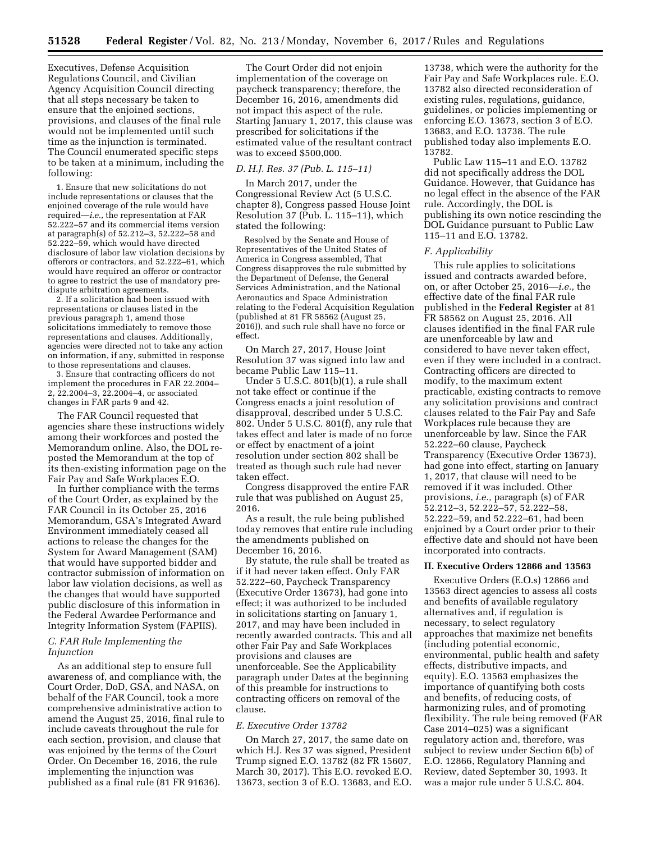Executives, Defense Acquisition Regulations Council, and Civilian Agency Acquisition Council directing that all steps necessary be taken to ensure that the enjoined sections, provisions, and clauses of the final rule would not be implemented until such time as the injunction is terminated. The Council enumerated specific steps to be taken at a minimum, including the following:

1. Ensure that new solicitations do not include representations or clauses that the enjoined coverage of the rule would have required—*i.e.,* the representation at FAR 52.222–57 and its commercial items version at paragraph(s) of 52.212–3, 52.222–58 and 52.222–59, which would have directed disclosure of labor law violation decisions by offerors or contractors, and 52.222–61, which would have required an offeror or contractor to agree to restrict the use of mandatory predispute arbitration agreements.

2. If a solicitation had been issued with representations or clauses listed in the previous paragraph 1, amend those solicitations immediately to remove those representations and clauses. Additionally, agencies were directed not to take any action on information, if any, submitted in response to those representations and clauses.

3. Ensure that contracting officers do not implement the procedures in FAR 22.2004– 2, 22.2004–3, 22.2004–4, or associated changes in FAR parts 9 and 42.

The FAR Council requested that agencies share these instructions widely among their workforces and posted the Memorandum online. Also, the DOL reposted the Memorandum at the top of its then-existing information page on the Fair Pay and Safe Workplaces E.O.

In further compliance with the terms of the Court Order, as explained by the FAR Council in its October 25, 2016 Memorandum, GSA's Integrated Award Environment immediately ceased all actions to release the changes for the System for Award Management (SAM) that would have supported bidder and contractor submission of information on labor law violation decisions, as well as the changes that would have supported public disclosure of this information in the Federal Awardee Performance and Integrity Information System (FAPIIS).

## *C. FAR Rule Implementing the Injunction*

As an additional step to ensure full awareness of, and compliance with, the Court Order, DoD, GSA, and NASA, on behalf of the FAR Council, took a more comprehensive administrative action to amend the August 25, 2016, final rule to include caveats throughout the rule for each section, provision, and clause that was enjoined by the terms of the Court Order. On December 16, 2016, the rule implementing the injunction was published as a final rule (81 FR 91636).

The Court Order did not enjoin implementation of the coverage on paycheck transparency; therefore, the December 16, 2016, amendments did not impact this aspect of the rule. Starting January 1, 2017, this clause was prescribed for solicitations if the estimated value of the resultant contract was to exceed \$500,000.

## *D. H.J. Res. 37 (Pub. L. 115–11)*

In March 2017, under the Congressional Review Act (5 U.S.C. chapter 8), Congress passed House Joint Resolution 37 (Pub. L. 115–11), which stated the following:

Resolved by the Senate and House of Representatives of the United States of America in Congress assembled, That Congress disapproves the rule submitted by the Department of Defense, the General Services Administration, and the National Aeronautics and Space Administration relating to the Federal Acquisition Regulation (published at 81 FR 58562 (August 25, 2016)), and such rule shall have no force or effect.

On March 27, 2017, House Joint Resolution 37 was signed into law and became Public Law 115–11.

Under 5 U.S.C. 801(b)(1), a rule shall not take effect or continue if the Congress enacts a joint resolution of disapproval, described under 5 U.S.C. 802. Under 5 U.S.C. 801(f), any rule that takes effect and later is made of no force or effect by enactment of a joint resolution under section 802 shall be treated as though such rule had never taken effect.

Congress disapproved the entire FAR rule that was published on August 25, 2016.

As a result, the rule being published today removes that entire rule including the amendments published on December 16, 2016.

By statute, the rule shall be treated as if it had never taken effect. Only FAR 52.222–60, Paycheck Transparency (Executive Order 13673), had gone into effect; it was authorized to be included in solicitations starting on January 1, 2017, and may have been included in recently awarded contracts. This and all other Fair Pay and Safe Workplaces provisions and clauses are unenforceable. See the Applicability paragraph under Dates at the beginning of this preamble for instructions to contracting officers on removal of the clause.

### *E. Executive Order 13782*

On March 27, 2017, the same date on which H.J. Res 37 was signed, President Trump signed E.O. 13782 (82 FR 15607, March 30, 2017). This E.O. revoked E.O. 13673, section 3 of E.O. 13683, and E.O.

13738, which were the authority for the Fair Pay and Safe Workplaces rule. E.O. 13782 also directed reconsideration of existing rules, regulations, guidance, guidelines, or policies implementing or enforcing E.O. 13673, section 3 of E.O. 13683, and E.O. 13738. The rule published today also implements E.O. 13782.

Public Law 115–11 and E.O. 13782 did not specifically address the DOL Guidance. However, that Guidance has no legal effect in the absence of the FAR rule. Accordingly, the DOL is publishing its own notice rescinding the DOL Guidance pursuant to Public Law 115–11 and E.O. 13782.

#### *F. Applicability*

This rule applies to solicitations issued and contracts awarded before, on, or after October 25, 2016—*i.e.,* the effective date of the final FAR rule published in the **Federal Register** at 81 FR 58562 on August 25, 2016. All clauses identified in the final FAR rule are unenforceable by law and considered to have never taken effect, even if they were included in a contract. Contracting officers are directed to modify, to the maximum extent practicable, existing contracts to remove any solicitation provisions and contract clauses related to the Fair Pay and Safe Workplaces rule because they are unenforceable by law. Since the FAR 52.222–60 clause, Paycheck Transparency (Executive Order 13673), had gone into effect, starting on January 1, 2017, that clause will need to be removed if it was included. Other provisions, *i.e.,* paragraph (s) of FAR 52.212–3, 52.222–57, 52.222–58, 52.222–59, and 52.222–61, had been enjoined by a Court order prior to their effective date and should not have been incorporated into contracts.

#### **II. Executive Orders 12866 and 13563**

Executive Orders (E.O.s) 12866 and 13563 direct agencies to assess all costs and benefits of available regulatory alternatives and, if regulation is necessary, to select regulatory approaches that maximize net benefits (including potential economic, environmental, public health and safety effects, distributive impacts, and equity). E.O. 13563 emphasizes the importance of quantifying both costs and benefits, of reducing costs, of harmonizing rules, and of promoting flexibility. The rule being removed (FAR Case 2014–025) was a significant regulatory action and, therefore, was subject to review under Section 6(b) of E.O. 12866, Regulatory Planning and Review, dated September 30, 1993. It was a major rule under 5 U.S.C. 804.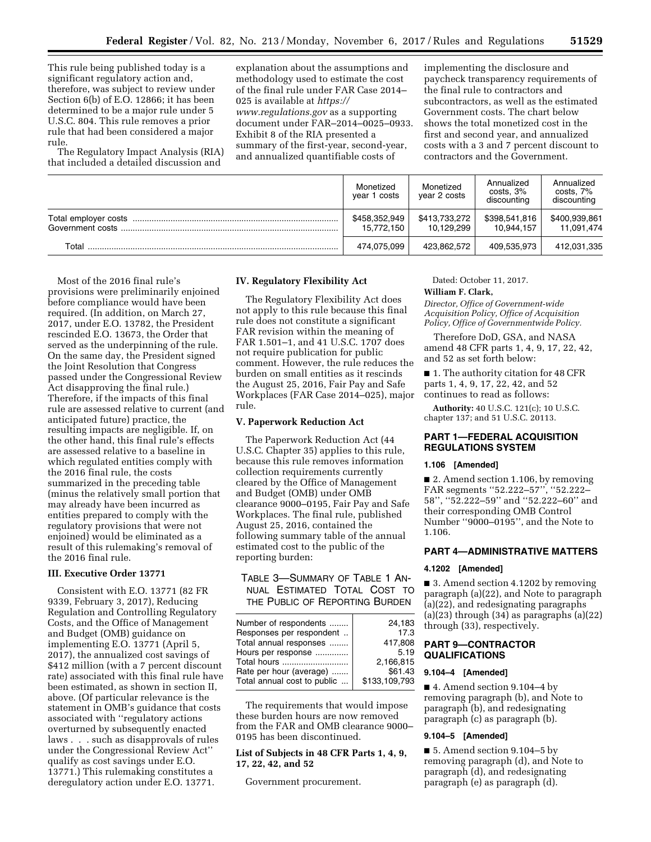This rule being published today is a significant regulatory action and, therefore, was subject to review under Section 6(b) of E.O. 12866; it has been determined to be a major rule under 5 U.S.C. 804. This rule removes a prior rule that had been considered a major rule.

The Regulatory Impact Analysis (RIA) that included a detailed discussion and

explanation about the assumptions and methodology used to estimate the cost of the final rule under FAR Case 2014– 025 is available at *[https://](https://www.regulations.gov) [www.regulations.gov](https://www.regulations.gov)* as a supporting document under FAR–2014–0025–0933. Exhibit 8 of the RIA presented a summary of the first-year, second-year, and annualized quantifiable costs of

implementing the disclosure and paycheck transparency requirements of the final rule to contractors and subcontractors, as well as the estimated Government costs. The chart below shows the total monetized cost in the first and second year, and annualized costs with a 3 and 7 percent discount to contractors and the Government.

|       | Monetized<br>year 1 costs   | Monetized<br>year 2 costs   | Annualized<br>$costs$ , $3%$<br>discounting | Annualized<br>costs, 7%<br>discounting |
|-------|-----------------------------|-----------------------------|---------------------------------------------|----------------------------------------|
|       | \$458,352,949<br>15.772.150 | \$413,733,272<br>10.129.299 | \$398,541,816<br>10.944.157                 | \$400,939,861<br>11.091.474            |
| Total | 474.075.099                 | 423.862.572                 | 409,535,973                                 | 412,031,335                            |

Most of the 2016 final rule's provisions were preliminarily enjoined before compliance would have been required. (In addition, on March 27, 2017, under E.O. 13782, the President rescinded E.O. 13673, the Order that served as the underpinning of the rule. On the same day, the President signed the Joint Resolution that Congress passed under the Congressional Review Act disapproving the final rule.) Therefore, if the impacts of this final rule are assessed relative to current (and anticipated future) practice, the resulting impacts are negligible. If, on the other hand, this final rule's effects are assessed relative to a baseline in which regulated entities comply with the 2016 final rule, the costs summarized in the preceding table (minus the relatively small portion that may already have been incurred as entities prepared to comply with the regulatory provisions that were not enjoined) would be eliminated as a result of this rulemaking's removal of the 2016 final rule.

# **III. Executive Order 13771**

Consistent with E.O. 13771 (82 FR 9339, February 3, 2017), Reducing Regulation and Controlling Regulatory Costs, and the Office of Management and Budget (OMB) guidance on implementing E.O. 13771 (April 5, 2017), the annualized cost savings of \$412 million (with a 7 percent discount rate) associated with this final rule have been estimated, as shown in section II, above. (Of particular relevance is the statement in OMB's guidance that costs associated with ''regulatory actions overturned by subsequently enacted laws . . . such as disapprovals of rules under the Congressional Review Act'' qualify as cost savings under E.O. 13771.) This rulemaking constitutes a deregulatory action under E.O. 13771.

## **IV. Regulatory Flexibility Act**

The Regulatory Flexibility Act does not apply to this rule because this final rule does not constitute a significant FAR revision within the meaning of FAR 1.501–1, and 41 U.S.C. 1707 does not require publication for public comment. However, the rule reduces the burden on small entities as it rescinds the August 25, 2016, Fair Pay and Safe Workplaces (FAR Case 2014–025), major rule.

# **V. Paperwork Reduction Act**

The Paperwork Reduction Act (44 U.S.C. Chapter 35) applies to this rule, because this rule removes information collection requirements currently cleared by the Office of Management and Budget (OMB) under OMB clearance 9000–0195, Fair Pay and Safe Workplaces. The final rule, published August 25, 2016, contained the following summary table of the annual estimated cost to the public of the reporting burden:

# TABLE 3—SUMMARY OF TABLE 1 AN-NUAL ESTIMATED TOTAL COST TO THE PUBLIC OF REPORTING BURDEN

| Number of respondents       | 24.183        |
|-----------------------------|---------------|
| Responses per respondent    | 17.3          |
| Total annual responses      | 417,808       |
| Hours per response          | 5.19          |
| Total hours                 | 2,166,815     |
| Rate per hour (average)     | \$61.43       |
| Total annual cost to public | \$133,109,793 |
|                             |               |

The requirements that would impose these burden hours are now removed from the FAR and OMB clearance 9000– 0195 has been discontinued.

## **List of Subjects in 48 CFR Parts 1, 4, 9, 17, 22, 42, and 52**

Government procurement.

Dated: October 11, 2017.

# **William F. Clark,**

*Director, Office of Government-wide Acquisition Policy, Office of Acquisition Policy, Office of Governmentwide Policy.* 

Therefore DoD, GSA, and NASA amend 48 CFR parts 1, 4, 9, 17, 22, 42, and 52 as set forth below:

■ 1. The authority citation for 48 CFR parts 1, 4, 9, 17, 22, 42, and 52 continues to read as follows:

**Authority:** 40 U.S.C. 121(c); 10 U.S.C. chapter 137; and 51 U.S.C. 20113.

# **PART 1—FEDERAL ACQUISITION REGULATIONS SYSTEM**

## **1.106 [Amended]**

■ 2. Amend section 1.106, by removing FAR segments ''52.222–57'', ''52.222– 58'', ''52.222–59'' and ''52.222–60'' and their corresponding OMB Control Number ''9000–0195'', and the Note to 1.106.

# **PART 4—ADMINISTRATIVE MATTERS**

#### **4.1202 [Amended]**

■ 3. Amend section 4.1202 by removing paragraph (a)(22), and Note to paragraph (a)(22), and redesignating paragraphs  $(a)(23)$  through  $(34)$  as paragraphs  $(a)(22)$ through (33), respectively.

## **PART 9—CONTRACTOR QUALIFICATIONS**

#### **9.104–4 [Amended]**

■ 4. Amend section 9.104–4 by removing paragraph (b), and Note to paragraph (b), and redesignating paragraph (c) as paragraph (b).

### **9.104–5 [Amended]**

■ 5. Amend section 9.104–5 by removing paragraph (d), and Note to paragraph (d), and redesignating paragraph (e) as paragraph (d).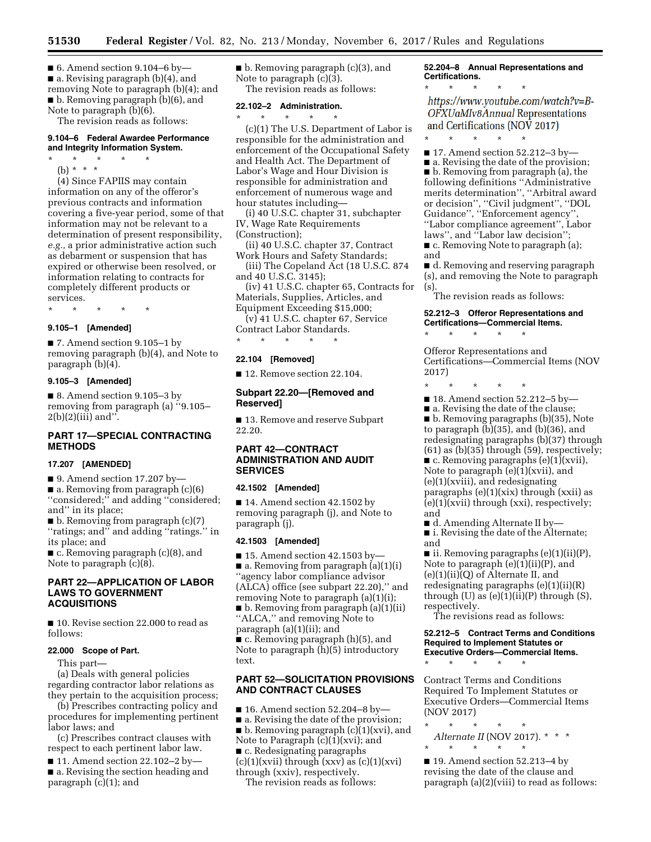$\blacksquare$  6. Amend section 9.104–6 by ■ a. Revising paragraph (b)(4), and removing Note to paragraph (b)(4); and ■ b. Removing paragraph (b)(6), and Note to paragraph (b)(6).

The revision reads as follows:

# **9.104–6 Federal Awardee Performance and Integrity Information System.**

\* \* \* \* \* (b) \* \* \*

(4) Since FAPIIS may contain information on any of the offeror's previous contracts and information covering a five-year period, some of that information may not be relevant to a determination of present responsibility, *e.g.,* a prior administrative action such as debarment or suspension that has expired or otherwise been resolved, or information relating to contracts for completely different products or services.

\* \* \* \* \*

# **9.105–1 [Amended]**

■ 7. Amend section 9.105–1 by removing paragraph (b)(4), and Note to paragraph (b)(4).

### **9.105–3 [Amended]**

■ 8. Amend section 9.105–3 by removing from paragraph (a) ''9.105–  $2(b)(2)(iii)$  and".

# **PART 17—SPECIAL CONTRACTING METHODS**

#### **17.207 [AMENDED]**

■ 9. Amend section 17.207 by—

■ a. Removing from paragraph (c)(6) ''considered;'' and adding ''considered; and'' in its place;

■ b. Removing from paragraph (c)(7) ''ratings; and'' and adding ''ratings.'' in its place; and

■ c. Removing paragraph (c)(8), and Note to paragraph (c)(8).

## **PART 22—APPLICATION OF LABOR LAWS TO GOVERNMENT ACQUISITIONS**

■ 10. Revise section 22.000 to read as follows:

#### **22.000 Scope of Part.**

This part—

(a) Deals with general policies regarding contractor labor relations as they pertain to the acquisition process;

(b) Prescribes contracting policy and procedures for implementing pertinent labor laws; and

(c) Prescribes contract clauses with respect to each pertinent labor law.

■ 11. Amend section 22.102–2 by– ■ a. Revising the section heading and paragraph (c)(1); and

■ b. Removing paragraph (c)(3), and Note to paragraph (c)(3). The revision reads as follows:

### **22.102–2 Administration.**

\* \* \* \* \* (c)(1) The U.S. Department of Labor is responsible for the administration and enforcement of the Occupational Safety and Health Act. The Department of Labor's Wage and Hour Division is responsible for administration and enforcement of numerous wage and hour statutes including—

(i) 40 U.S.C. chapter 31, subchapter IV, Wage Rate Requirements (Construction);

(ii) 40 U.S.C. chapter 37, Contract Work Hours and Safety Standards;

(iii) The Copeland Act (18 U.S.C. 874 and 40 U.S.C. 3145);

(iv) 41 U.S.C. chapter 65, Contracts for Materials, Supplies, Articles, and Equipment Exceeding \$15,000;

(v) 41 U.S.C. chapter 67, Service

Contract Labor Standards. \* \* \* \* \*

#### **22.104 [Removed]**

■ 12. Remove section 22.104.

## **Subpart 22.20—[Removed and Reserved]**

■ 13. Remove and reserve Subpart 22.20.

# **PART 42—CONTRACT ADMINISTRATION AND AUDIT SERVICES**

### **42.1502 [Amended]**

■ 14. Amend section 42.1502 by removing paragraph (j), and Note to paragraph (j).

#### **42.1503 [Amended]**

 $\blacksquare$  15. Amend section 42.1503 by-■ a. Removing from paragraph (a)(1)(i) ''agency labor compliance advisor (ALCA) office (see subpart 22.20),'' and removing Note to paragraph (a)(1)(i); ■ b. Removing from paragraph (a)(1)(ii) ''ALCA,'' and removing Note to paragraph (a)(1)(ii); and ■ c. Removing paragraph (h)(5), and Note to paragraph (h)(5) introductory text.

# **PART 52—SOLICITATION PROVISIONS AND CONTRACT CLAUSES**

 $\blacksquare$  16. Amend section 52.204–8 by—

- a. Revising the date of the provision;
- b. Removing paragraph (c)(1)(xvi), and

Note to Paragraph (c)(1)(xvi); and

■ c. Redesignating paragraphs  $(c)(1)(xvii)$  through  $(xxv)$  as  $(c)(1)(xvi)$ through (xxiv), respectively.

The revision reads as follows:

**52.204–8 Annual Representations and Certifications.** 

\* \* \* \* \* https://www.youtube.com/watch?v=B-OFXUaMIv8Annual Representations and Certifications (NOV 2017)

■ 17. Amend section 52.212-3 by-

\* \* \* \* \*

■ a. Revising the date of the provision; ■ b. Removing from paragraph (a), the following definitions ''Administrative merits determination'', ''Arbitral award or decision'', ''Civil judgment'', ''DOL Guidance'', ''Enforcement agency'', ''Labor compliance agreement'', Labor laws", and "Labor law decision" ■ c. Removing Note to paragraph (a);

and

■ d. Removing and reserving paragraph (s), and removing the Note to paragraph (s).

The revision reads as follows:

# **52.212–3 Offeror Representations and Certifications—Commercial Items.**

Offeror Representations and Certifications—Commercial Items (NOV 2017)

\* \* \* \* \*

\* \* \* \* \*

■ 18. Amend section 52.212–5 by—

■ a. Revising the date of the clause; ■ b. Removing paragraphs (b)(35), Note to paragraph (b)(35), and (b)(36), and redesignating paragraphs (b)(37) through  $(61)$  as  $(b)(35)$  through  $(59)$ , respectively;  $\blacksquare$  c. Removing paragraphs (e)(1)(xvii), Note to paragraph (e)(1)(xvii), and (e)(1)(xviii), and redesignating paragraphs (e)(1)(xix) through (xxii) as (e)(1)(xvii) through (xxi), respectively; and

■ d. Amending Alternate II by— ■ i. Revising the date of the Alternate; and

■ ii. Removing paragraphs (e)(1)(ii)(P), Note to paragraph (e)(1)(ii)(P), and (e)(1)(ii)(Q) of Alternate II, and redesignating paragraphs (e)(1)(ii)(R) through (U) as  $(e)(1)(ii)(P)$  through (S), respectively.

The revisions read as follows:

#### **52.212–5 Contract Terms and Conditions Required to Implement Statutes or Executive Orders—Commercial Items.**

\* \* \* \* \*

Contract Terms and Conditions Required To Implement Statutes or Executive Orders—Commercial Items (NOV 2017)

\* \* \* \* \* *Alternate II* (NOV 2017). \* \* \* \* \* \* \* \*

■ 19. Amend section 52.213–4 by revising the date of the clause and paragraph (a)(2)(viii) to read as follows: